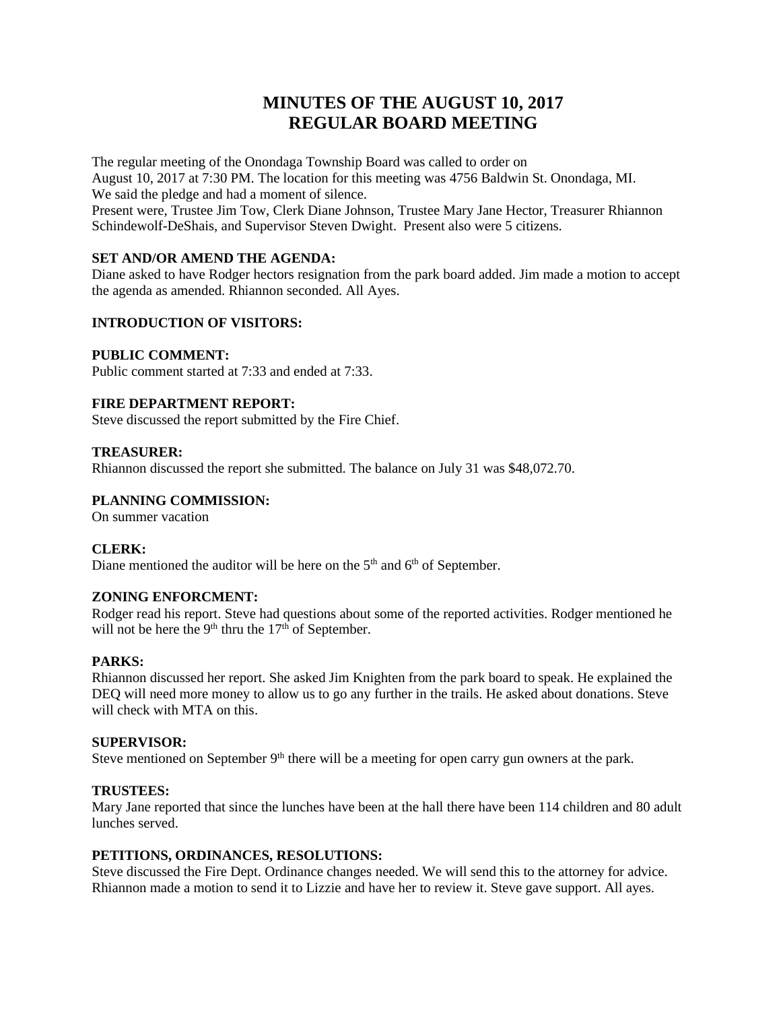# **MINUTES OF THE AUGUST 10, 2017 REGULAR BOARD MEETING**

The regular meeting of the Onondaga Township Board was called to order on August 10, 2017 at 7:30 PM. The location for this meeting was 4756 Baldwin St. Onondaga, MI. We said the pledge and had a moment of silence. Present were, Trustee Jim Tow, Clerk Diane Johnson, Trustee Mary Jane Hector, Treasurer Rhiannon Schindewolf-DeShais, and Supervisor Steven Dwight. Present also were 5 citizens.

## **SET AND/OR AMEND THE AGENDA:**

Diane asked to have Rodger hectors resignation from the park board added. Jim made a motion to accept the agenda as amended. Rhiannon seconded. All Ayes.

## **INTRODUCTION OF VISITORS:**

## **PUBLIC COMMENT:**

Public comment started at 7:33 and ended at 7:33.

## **FIRE DEPARTMENT REPORT:**

Steve discussed the report submitted by the Fire Chief.

### **TREASURER:**

Rhiannon discussed the report she submitted. The balance on July 31 was \$48,072.70.

## **PLANNING COMMISSION:**

On summer vacation

### **CLERK:**

Diane mentioned the auditor will be here on the  $5<sup>th</sup>$  and  $6<sup>th</sup>$  of September.

## **ZONING ENFORCMENT:**

Rodger read his report. Steve had questions about some of the reported activities. Rodger mentioned he will not be here the 9<sup>th</sup> thru the  $17<sup>th</sup>$  of September.

## **PARKS:**

Rhiannon discussed her report. She asked Jim Knighten from the park board to speak. He explained the DEQ will need more money to allow us to go any further in the trails. He asked about donations. Steve will check with MTA on this.

### **SUPERVISOR:**

Steve mentioned on September 9<sup>th</sup> there will be a meeting for open carry gun owners at the park.

### **TRUSTEES:**

Mary Jane reported that since the lunches have been at the hall there have been 114 children and 80 adult lunches served.

## **PETITIONS, ORDINANCES, RESOLUTIONS:**

Steve discussed the Fire Dept. Ordinance changes needed. We will send this to the attorney for advice. Rhiannon made a motion to send it to Lizzie and have her to review it. Steve gave support. All ayes.